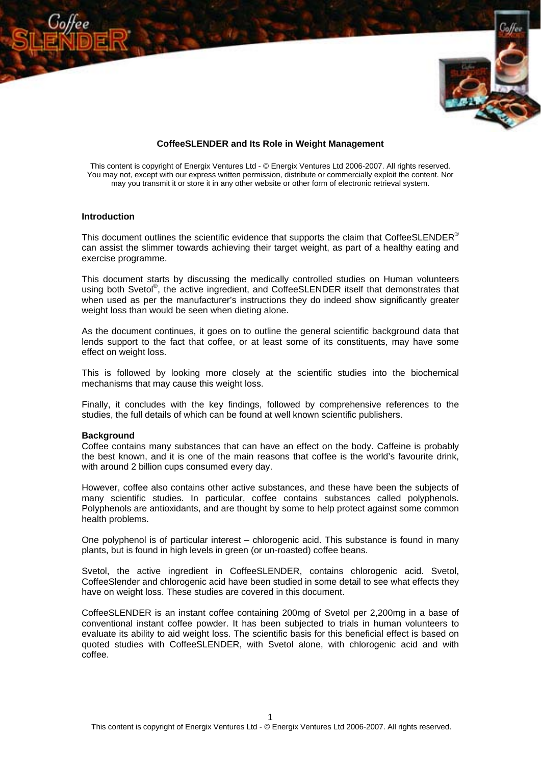

# **CoffeeSLENDER and Its Role in Weight Management**

This content is copyright of Energix Ventures Ltd - © Energix Ventures Ltd 2006-2007. All rights reserved. You may not, except with our express written permission, distribute or commercially exploit the content. Nor may you transmit it or store it in any other website or other form of electronic retrieval system.

## **Introduction**

This document outlines the scientific evidence that supports the claim that CoffeeSLENDER<sup>®</sup> can assist the slimmer towards achieving their target weight, as part of a healthy eating and exercise programme.

This document starts by discussing the medically controlled studies on Human volunteers using both Svetol<sup>®</sup>, the active ingredient, and CoffeeSLENDER itself that demonstrates that when used as per the manufacturer's instructions they do indeed show significantly greater weight loss than would be seen when dieting alone.

As the document continues, it goes on to outline the general scientific background data that lends support to the fact that coffee, or at least some of its constituents, may have some effect on weight loss.

This is followed by looking more closely at the scientific studies into the biochemical mechanisms that may cause this weight loss.

Finally, it concludes with the key findings, followed by comprehensive references to the studies, the full details of which can be found at well known scientific publishers.

#### **Background**

Coffee contains many substances that can have an effect on the body. Caffeine is probably the best known, and it is one of the main reasons that coffee is the world's favourite drink, with around 2 billion cups consumed every day.

However, coffee also contains other active substances, and these have been the subjects of many scientific studies. In particular, coffee contains substances called polyphenols. Polyphenols are antioxidants, and are thought by some to help protect against some common health problems.

One polyphenol is of particular interest – chlorogenic acid. This substance is found in many plants, but is found in high levels in green (or un-roasted) coffee beans.

Svetol, the active ingredient in CoffeeSLENDER, contains chlorogenic acid. Svetol, CoffeeSlender and chlorogenic acid have been studied in some detail to see what effects they have on weight loss. These studies are covered in this document.

CoffeeSLENDER is an instant coffee containing 200mg of Svetol per 2,200mg in a base of conventional instant coffee powder. It has been subjected to trials in human volunteers to evaluate its ability to aid weight loss. The scientific basis for this beneficial effect is based on quoted studies with CoffeeSLENDER, with Svetol alone, with chlorogenic acid and with coffee.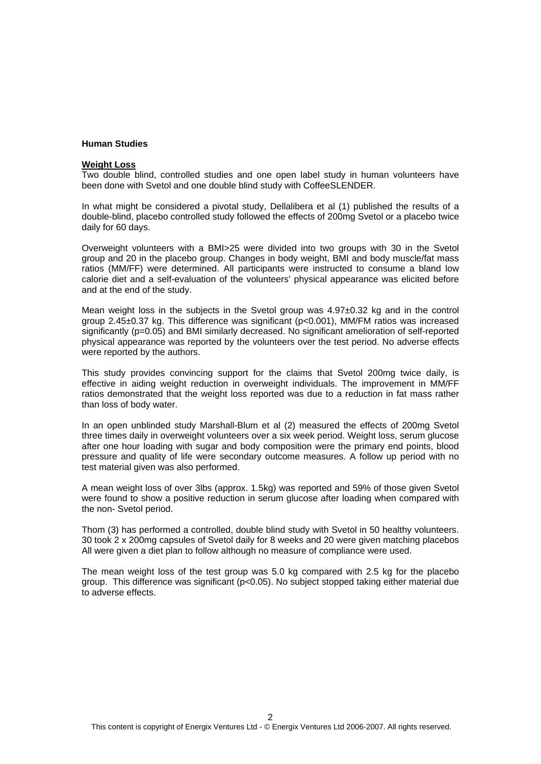# **Human Studies**

## **Weight Loss**

Two double blind, controlled studies and one open label study in human volunteers have been done with Svetol and one double blind study with CoffeeSLENDER.

In what might be considered a pivotal study, Dellalibera et al (1) published the results of a double-blind, placebo controlled study followed the effects of 200mg Svetol or a placebo twice daily for 60 days.

Overweight volunteers with a BMI>25 were divided into two groups with 30 in the Svetol group and 20 in the placebo group. Changes in body weight, BMI and body muscle/fat mass ratios (MM/FF) were determined. All participants were instructed to consume a bland low calorie diet and a self-evaluation of the volunteers' physical appearance was elicited before and at the end of the study.

Mean weight loss in the subjects in the Svetol group was 4.97±0.32 kg and in the control group 2.45±0.37 kg. This difference was significant (p<0.001), MM/FM ratios was increased significantly (p=0.05) and BMI similarly decreased. No significant amelioration of self-reported physical appearance was reported by the volunteers over the test period. No adverse effects were reported by the authors.

This study provides convincing support for the claims that Svetol 200mg twice daily, is effective in aiding weight reduction in overweight individuals. The improvement in MM/FF ratios demonstrated that the weight loss reported was due to a reduction in fat mass rather than loss of body water.

In an open unblinded study Marshall-Blum et al (2) measured the effects of 200mg Svetol three times daily in overweight volunteers over a six week period. Weight loss, serum glucose after one hour loading with sugar and body composition were the primary end points, blood pressure and quality of life were secondary outcome measures. A follow up period with no test material given was also performed.

A mean weight loss of over 3lbs (approx. 1.5kg) was reported and 59% of those given Svetol were found to show a positive reduction in serum glucose after loading when compared with the non- Svetol period.

Thom (3) has performed a controlled, double blind study with Svetol in 50 healthy volunteers. 30 took 2 x 200mg capsules of Svetol daily for 8 weeks and 20 were given matching placebos All were given a diet plan to follow although no measure of compliance were used.

The mean weight loss of the test group was 5.0 kg compared with 2.5 kg for the placebo group. This difference was significant (p<0.05). No subject stopped taking either material due to adverse effects.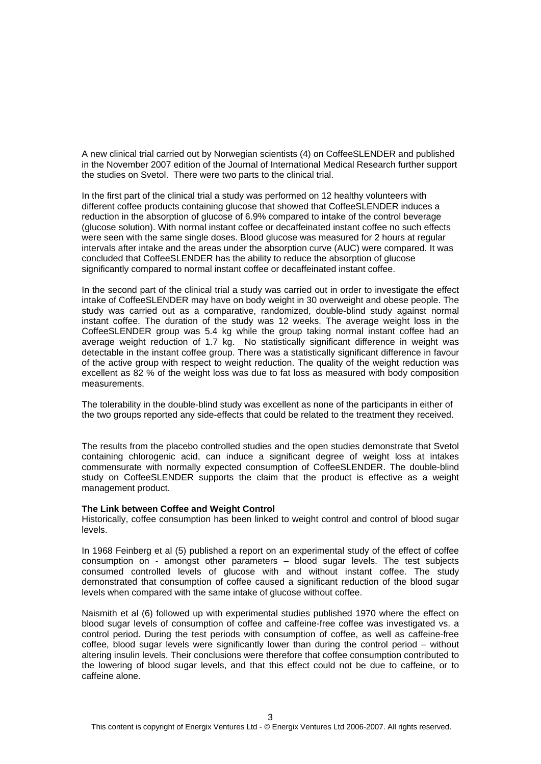A new clinical trial carried out by Norwegian scientists (4) on CoffeeSLENDER and published in the November 2007 edition of the Journal of International Medical Research further support the studies on Svetol. There were two parts to the clinical trial.

In the first part of the clinical trial a study was performed on 12 healthy volunteers with different coffee products containing glucose that showed that CoffeeSLENDER induces a reduction in the absorption of glucose of 6.9% compared to intake of the control beverage (glucose solution). With normal instant coffee or decaffeinated instant coffee no such effects were seen with the same single doses. Blood glucose was measured for 2 hours at regular intervals after intake and the areas under the absorption curve (AUC) were compared. It was concluded that CoffeeSLENDER has the ability to reduce the absorption of glucose significantly compared to normal instant coffee or decaffeinated instant coffee.

In the second part of the clinical trial a study was carried out in order to investigate the effect intake of CoffeeSLENDER may have on body weight in 30 overweight and obese people. The study was carried out as a comparative, randomized, double-blind study against normal instant coffee. The duration of the study was 12 weeks. The average weight loss in the CoffeeSLENDER group was 5.4 kg while the group taking normal instant coffee had an average weight reduction of 1.7 kg. No statistically significant difference in weight was detectable in the instant coffee group. There was a statistically significant difference in favour of the active group with respect to weight reduction. The quality of the weight reduction was excellent as 82 % of the weight loss was due to fat loss as measured with body composition measurements.

The tolerability in the double-blind study was excellent as none of the participants in either of the two groups reported any side-effects that could be related to the treatment they received.

The results from the placebo controlled studies and the open studies demonstrate that Svetol containing chlorogenic acid, can induce a significant degree of weight loss at intakes commensurate with normally expected consumption of CoffeeSLENDER. The double-blind study on CoffeeSLENDER supports the claim that the product is effective as a weight management product.

#### **The Link between Coffee and Weight Control**

Historically, coffee consumption has been linked to weight control and control of blood sugar levels.

In 1968 Feinberg et al (5) published a report on an experimental study of the effect of coffee consumption on - amongst other parameters – blood sugar levels. The test subjects consumed controlled levels of glucose with and without instant coffee. The study demonstrated that consumption of coffee caused a significant reduction of the blood sugar levels when compared with the same intake of glucose without coffee.

Naismith et al (6) followed up with experimental studies published 1970 where the effect on blood sugar levels of consumption of coffee and caffeine-free coffee was investigated vs. a control period. During the test periods with consumption of coffee, as well as caffeine-free coffee, blood sugar levels were significantly lower than during the control period – without altering insulin levels. Their conclusions were therefore that coffee consumption contributed to the lowering of blood sugar levels, and that this effect could not be due to caffeine, or to caffeine alone.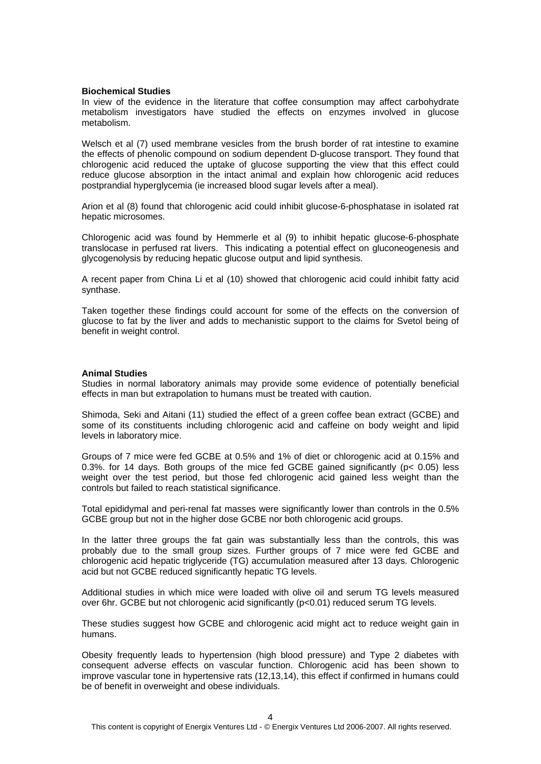## **Biochemical Studies**

In view of the evidence in the literature that coffee consumption may affect carbohydrate metabolism investigators have studied the effects on enzymes involved in glucose metabolism.

Welsch et al (7) used membrane vesicles from the brush border of rat intestine to examine the effects of phenolic compound on sodium dependent D-glucose transport. They found that chlorogenic acid reduced the uptake of glucose supporting the view that this effect could reduce glucose absorption in the intact animal and explain how chlorogenic acid reduces postprandial hyperglycemia (ie increased blood sugar levels after a meal).

Arion et al (8) found that chlorogenic acid could inhibit glucose-6-phosphatase in isolated rat hepatic microsomes.

Chlorogenic acid was found by Hemmerle et al (9) to inhibit hepatic glucose-6-phosphate translocase in perfused rat livers. This indicating a potential effect on gluconeogenesis and glycogenolysis by reducing hepatic glucose output and lipid synthesis.

A recent paper from China Li et al (10) showed that chlorogenic acid could inhibit fatty acid synthase.

Taken together these findings could account for some of the effects on the conversion of glucose to fat by the liver and adds to mechanistic support to the claims for Svetol being of benefit in weight control.

## **Animal Studies**

Studies in normal laboratory animals may provide some evidence of potentially beneficial effects in man but extrapolation to humans must be treated with caution.

Shimoda, Seki and Aitani (11) studied the effect of a green coffee bean extract (GCBE) and some of its constituents including chlorogenic acid and caffeine on body weight and lipid levels in laboratory mice.

Groups of 7 mice were fed GCBE at 0.5% and 1% of diet or chlorogenic acid at 0.15% and 0.3%. for 14 days. Both groups of the mice fed GCBE gained significantly ( $p < 0.05$ ) less weight over the test period, but those fed chlorogenic acid gained less weight than the controls but failed to reach statistical significance.

Total epididymal and peri-renal fat masses were significantly lower than controls in the 0.5% GCBE group but not in the higher dose GCBE nor both chlorogenic acid groups.

In the latter three groups the fat gain was substantially less than the controls, this was probably due to the small group sizes. Further groups of 7 mice were fed GCBE and chlorogenic acid hepatic triglyceride (TG) accumulation measured after 13 days. Chlorogenic acid but not GCBE reduced significantly hepatic TG levels.

Additional studies in which mice were loaded with olive oil and serum TG levels measured over 6hr. GCBE but not chlorogenic acid significantly (p<0.01) reduced serum TG levels.

These studies suggest how GCBE and chlorogenic acid might act to reduce weight gain in humans.

Obesity frequently leads to hypertension (high blood pressure) and Type 2 diabetes with consequent adverse effects on vascular function. Chlorogenic acid has been shown to improve vascular tone in hypertensive rats (12,13,14), this effect if confirmed in humans could be of benefit in overweight and obese individuals.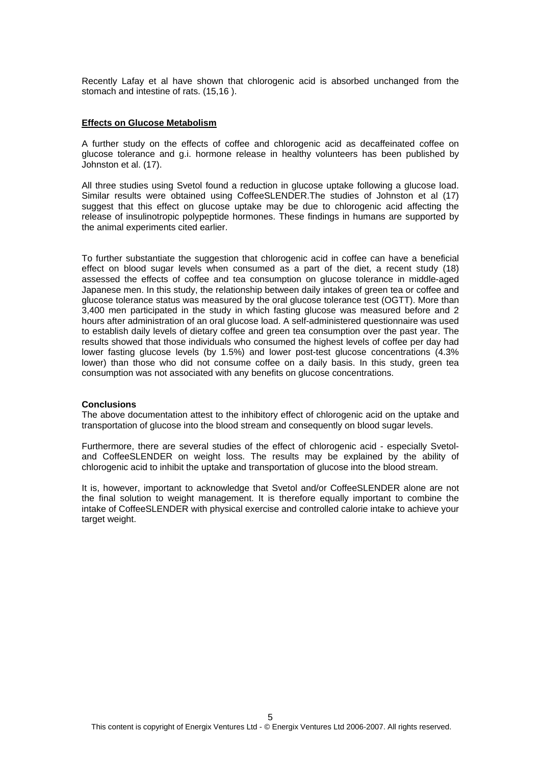Recently Lafay et al have shown that chlorogenic acid is absorbed unchanged from the stomach and intestine of rats. (15,16 ).

## **Effects on Glucose Metabolism**

A further study on the effects of coffee and chlorogenic acid as decaffeinated coffee on glucose tolerance and g.i. hormone release in healthy volunteers has been published by Johnston et al. (17).

All three studies using Svetol found a reduction in glucose uptake following a glucose load. Similar results were obtained using CoffeeSLENDER.The studies of Johnston et al (17) suggest that this effect on glucose uptake may be due to chlorogenic acid affecting the release of insulinotropic polypeptide hormones. These findings in humans are supported by the animal experiments cited earlier.

To further substantiate the suggestion that chlorogenic acid in coffee can have a beneficial effect on blood sugar levels when consumed as a part of the diet, a recent study (18) assessed the effects of coffee and tea consumption on glucose tolerance in middle-aged Japanese men. In this study, the relationship between daily intakes of green tea or coffee and glucose tolerance status was measured by the oral glucose tolerance test (OGTT). More than 3,400 men participated in the study in which fasting glucose was measured before and 2 hours after administration of an oral glucose load. A self-administered questionnaire was used to establish daily levels of dietary coffee and green tea consumption over the past year. The results showed that those individuals who consumed the highest levels of coffee per day had lower fasting glucose levels (by 1.5%) and lower post-test glucose concentrations (4.3% lower) than those who did not consume coffee on a daily basis. In this study, green tea consumption was not associated with any benefits on glucose concentrations.

#### **Conclusions**

The above documentation attest to the inhibitory effect of chlorogenic acid on the uptake and transportation of glucose into the blood stream and consequently on blood sugar levels.

Furthermore, there are several studies of the effect of chlorogenic acid - especially Svetoland CoffeeSLENDER on weight loss. The results may be explained by the ability of chlorogenic acid to inhibit the uptake and transportation of glucose into the blood stream.

It is, however, important to acknowledge that Svetol and/or CoffeeSLENDER alone are not the final solution to weight management. It is therefore equally important to combine the intake of CoffeeSLENDER with physical exercise and controlled calorie intake to achieve your target weight.